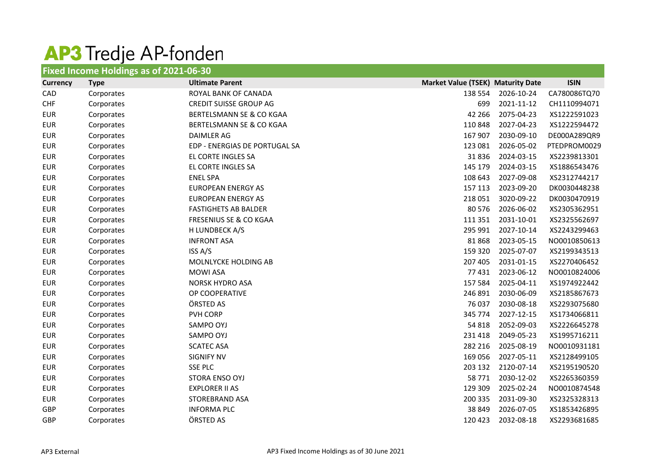## **AP3** Tredje AP-fonden

| <b>Fixed Income Holdings as of 2021-06-30</b> |             |                                   |                                          |            |              |
|-----------------------------------------------|-------------|-----------------------------------|------------------------------------------|------------|--------------|
| <b>Currency</b>                               | <b>Type</b> | <b>Ultimate Parent</b>            | <b>Market Value (TSEK) Maturity Date</b> |            | <b>ISIN</b>  |
| CAD                                           | Corporates  | ROYAL BANK OF CANADA              | 138 554                                  | 2026-10-24 | CA780086TQ70 |
| <b>CHF</b>                                    | Corporates  | <b>CREDIT SUISSE GROUP AG</b>     | 699                                      | 2021-11-12 | CH1110994071 |
| <b>EUR</b>                                    | Corporates  | BERTELSMANN SE & CO KGAA          | 42 266                                   | 2075-04-23 | XS1222591023 |
| <b>EUR</b>                                    | Corporates  | BERTELSMANN SE & CO KGAA          | 110 848                                  | 2027-04-23 | XS1222594472 |
| <b>EUR</b>                                    | Corporates  | DAIMLER AG                        | 167 907                                  | 2030-09-10 | DE000A289QR9 |
| <b>EUR</b>                                    | Corporates  | EDP - ENERGIAS DE PORTUGAL SA     | 123 081                                  | 2026-05-02 | PTEDPROM0029 |
| <b>EUR</b>                                    | Corporates  | EL CORTE INGLES SA                | 31836                                    | 2024-03-15 | XS2239813301 |
| <b>EUR</b>                                    | Corporates  | EL CORTE INGLES SA                | 145 179                                  | 2024-03-15 | XS1886543476 |
| <b>EUR</b>                                    | Corporates  | <b>ENEL SPA</b>                   | 108 643                                  | 2027-09-08 | XS2312744217 |
| <b>EUR</b>                                    | Corporates  | <b>EUROPEAN ENERGY AS</b>         | 157 113                                  | 2023-09-20 | DK0030448238 |
| <b>EUR</b>                                    | Corporates  | <b>EUROPEAN ENERGY AS</b>         | 218 051                                  | 3020-09-22 | DK0030470919 |
| <b>EUR</b>                                    | Corporates  | <b>FASTIGHETS AB BALDER</b>       | 80 576                                   | 2026-06-02 | XS2305362951 |
| <b>EUR</b>                                    | Corporates  | <b>FRESENIUS SE &amp; CO KGAA</b> | 111 351                                  | 2031-10-01 | XS2325562697 |
| <b>EUR</b>                                    | Corporates  | H LUNDBECK A/S                    | 295 991                                  | 2027-10-14 | XS2243299463 |
| <b>EUR</b>                                    | Corporates  | <b>INFRONT ASA</b>                | 81868                                    | 2023-05-15 | NO0010850613 |
| <b>EUR</b>                                    | Corporates  | ISS A/S                           | 159 320                                  | 2025-07-07 | XS2199343513 |
| <b>EUR</b>                                    | Corporates  | MOLNLYCKE HOLDING AB              | 207 405                                  | 2031-01-15 | XS2270406452 |
| <b>EUR</b>                                    | Corporates  | <b>MOWI ASA</b>                   | 77431                                    | 2023-06-12 | NO0010824006 |
| <b>EUR</b>                                    | Corporates  | <b>NORSK HYDRO ASA</b>            | 157 584                                  | 2025-04-11 | XS1974922442 |
| <b>EUR</b>                                    | Corporates  | OP COOPERATIVE                    | 246 891                                  | 2030-06-09 | XS2185867673 |
| <b>EUR</b>                                    | Corporates  | ÖRSTED AS                         | 76 037                                   | 2030-08-18 | XS2293075680 |
| <b>EUR</b>                                    | Corporates  | PVH CORP                          | 345 774                                  | 2027-12-15 | XS1734066811 |
| <b>EUR</b>                                    | Corporates  | SAMPO OYJ                         | 54 818                                   | 2052-09-03 | XS2226645278 |
| <b>EUR</b>                                    | Corporates  | SAMPO OYJ                         | 231 418                                  | 2049-05-23 | XS1995716211 |
| <b>EUR</b>                                    | Corporates  | <b>SCATEC ASA</b>                 | 282 216                                  | 2025-08-19 | NO0010931181 |
| <b>EUR</b>                                    | Corporates  | <b>SIGNIFY NV</b>                 | 169 056                                  | 2027-05-11 | XS2128499105 |
| <b>EUR</b>                                    | Corporates  | <b>SSE PLC</b>                    | 203 132                                  | 2120-07-14 | XS2195190520 |
| <b>EUR</b>                                    | Corporates  | STORA ENSO OYJ                    | 58 771                                   | 2030-12-02 | XS2265360359 |
| <b>EUR</b>                                    | Corporates  | <b>EXPLORER II AS</b>             | 129 309                                  | 2025-02-24 | NO0010874548 |
| <b>EUR</b>                                    | Corporates  | <b>STOREBRAND ASA</b>             | 200 335                                  | 2031-09-30 | XS2325328313 |
| <b>GBP</b>                                    | Corporates  | <b>INFORMA PLC</b>                | 38 849                                   | 2026-07-05 | XS1853426895 |
| GBP                                           | Corporates  | ÖRSTED AS                         | 120 423                                  | 2032-08-18 | XS2293681685 |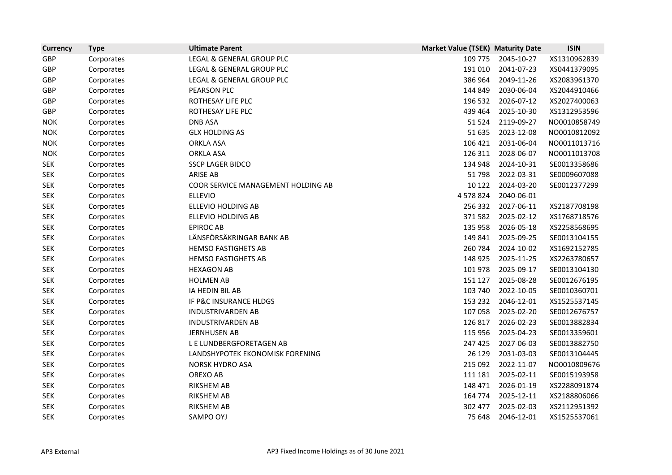| <b>Currency</b> | <b>Type</b> | <b>Ultimate Parent</b>             | <b>Market Value (TSEK) Maturity Date</b> |            | <b>ISIN</b>  |
|-----------------|-------------|------------------------------------|------------------------------------------|------------|--------------|
| <b>GBP</b>      | Corporates  | LEGAL & GENERAL GROUP PLC          | 109 775                                  | 2045-10-27 | XS1310962839 |
| GBP             | Corporates  | LEGAL & GENERAL GROUP PLC          | 191 010                                  | 2041-07-23 | XS0441379095 |
| GBP             | Corporates  | LEGAL & GENERAL GROUP PLC          | 386 964                                  | 2049-11-26 | XS2083961370 |
| GBP             | Corporates  | PEARSON PLC                        | 144 849                                  | 2030-06-04 | XS2044910466 |
| GBP             | Corporates  | ROTHESAY LIFE PLC                  | 196 532                                  | 2026-07-12 | XS2027400063 |
| GBP             | Corporates  | ROTHESAY LIFE PLC                  | 439 464                                  | 2025-10-30 | XS1312953596 |
| <b>NOK</b>      | Corporates  | <b>DNB ASA</b>                     | 51 524                                   | 2119-09-27 | NO0010858749 |
| <b>NOK</b>      | Corporates  | <b>GLX HOLDING AS</b>              | 51 635                                   | 2023-12-08 | NO0010812092 |
| <b>NOK</b>      | Corporates  | <b>ORKLA ASA</b>                   | 106 421                                  | 2031-06-04 | NO0011013716 |
| <b>NOK</b>      | Corporates  | <b>ORKLA ASA</b>                   | 126 311                                  | 2028-06-07 | NO0011013708 |
| <b>SEK</b>      | Corporates  | <b>SSCP LAGER BIDCO</b>            | 134 948                                  | 2024-10-31 | SE0013358686 |
| <b>SEK</b>      | Corporates  | <b>ARISE AB</b>                    | 51798                                    | 2022-03-31 | SE0009607088 |
| <b>SEK</b>      | Corporates  | COOR SERVICE MANAGEMENT HOLDING AB | 10 122                                   | 2024-03-20 | SE0012377299 |
| <b>SEK</b>      | Corporates  | <b>ELLEVIO</b>                     | 4 578 824                                | 2040-06-01 |              |
| <b>SEK</b>      | Corporates  | ELLEVIO HOLDING AB                 | 256 332                                  | 2027-06-11 | XS2187708198 |
| <b>SEK</b>      | Corporates  | ELLEVIO HOLDING AB                 | 371 582                                  | 2025-02-12 | XS1768718576 |
| <b>SEK</b>      | Corporates  | <b>EPIROC AB</b>                   | 135 958                                  | 2026-05-18 | XS2258568695 |
| <b>SEK</b>      | Corporates  | LÄNSFÖRSÄKRINGAR BANK AB           | 149 841                                  | 2025-09-25 | SE0013104155 |
| <b>SEK</b>      | Corporates  | <b>HEMSO FASTIGHETS AB</b>         | 260 784                                  | 2024-10-02 | XS1692152785 |
| <b>SEK</b>      | Corporates  | <b>HEMSO FASTIGHETS AB</b>         | 148 925                                  | 2025-11-25 | XS2263780657 |
| <b>SEK</b>      | Corporates  | <b>HEXAGON AB</b>                  | 101 978                                  | 2025-09-17 | SE0013104130 |
| <b>SEK</b>      | Corporates  | <b>HOLMEN AB</b>                   | 151 127                                  | 2025-08-28 | SE0012676195 |
| <b>SEK</b>      | Corporates  | IA HEDIN BIL AB                    | 103 740                                  | 2022-10-05 | SE0010360701 |
| <b>SEK</b>      | Corporates  | IF P&C INSURANCE HLDGS             | 153 232                                  | 2046-12-01 | XS1525537145 |
| <b>SEK</b>      | Corporates  | <b>INDUSTRIVARDEN AB</b>           | 107 058                                  | 2025-02-20 | SE0012676757 |
| <b>SEK</b>      | Corporates  | INDUSTRIVARDEN AB                  | 126 817                                  | 2026-02-23 | SE0013882834 |
| <b>SEK</b>      | Corporates  | <b>JERNHUSEN AB</b>                | 115 956                                  | 2025-04-23 | SE0013359601 |
| <b>SEK</b>      | Corporates  | L E LUNDBERGFORETAGEN AB           | 247 425                                  | 2027-06-03 | SE0013882750 |
| <b>SEK</b>      | Corporates  | LANDSHYPOTEK EKONOMISK FORENING    | 26 129                                   | 2031-03-03 | SE0013104445 |
| <b>SEK</b>      | Corporates  | <b>NORSK HYDRO ASA</b>             | 215 092                                  | 2022-11-07 | NO0010809676 |
| <b>SEK</b>      | Corporates  | OREXO AB                           | 111 181                                  | 2025-02-11 | SE0015193958 |
| <b>SEK</b>      | Corporates  | RIKSHEM AB                         | 148 471                                  | 2026-01-19 | XS2288091874 |
| <b>SEK</b>      | Corporates  | <b>RIKSHEM AB</b>                  | 164 774                                  | 2025-12-11 | XS2188806066 |
| <b>SEK</b>      | Corporates  | <b>RIKSHEM AB</b>                  | 302 477                                  | 2025-02-03 | XS2112951392 |
| <b>SEK</b>      | Corporates  | SAMPO OYJ                          | 75 648                                   | 2046-12-01 | XS1525537061 |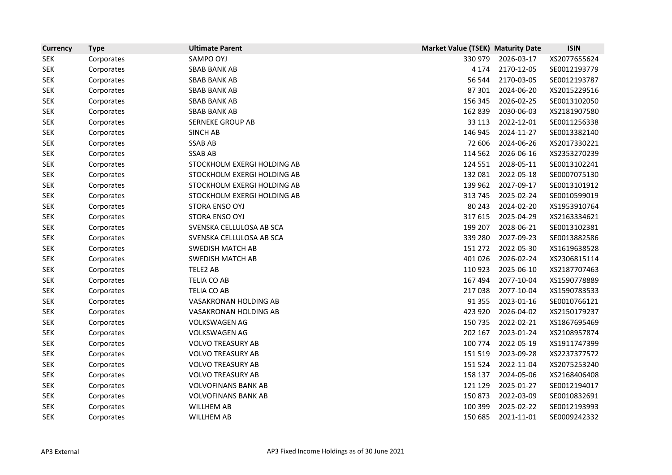| <b>Currency</b> | <b>Type</b> | <b>Ultimate Parent</b>      | <b>Market Value (TSEK) Maturity Date</b> |            | <b>ISIN</b>  |
|-----------------|-------------|-----------------------------|------------------------------------------|------------|--------------|
| <b>SEK</b>      | Corporates  | SAMPO OYJ                   | 330 979                                  | 2026-03-17 | XS2077655624 |
| <b>SEK</b>      | Corporates  | <b>SBAB BANK AB</b>         | 4 1 7 4                                  | 2170-12-05 | SE0012193779 |
| <b>SEK</b>      | Corporates  | <b>SBAB BANK AB</b>         | 56 544                                   | 2170-03-05 | SE0012193787 |
| <b>SEK</b>      | Corporates  | <b>SBAB BANK AB</b>         | 87 301                                   | 2024-06-20 | XS2015229516 |
| <b>SEK</b>      | Corporates  | <b>SBAB BANK AB</b>         | 156 345                                  | 2026-02-25 | SE0013102050 |
| <b>SEK</b>      | Corporates  | <b>SBAB BANK AB</b>         | 162 839                                  | 2030-06-03 | XS2181907580 |
| <b>SEK</b>      | Corporates  | <b>SERNEKE GROUP AB</b>     | 33 113                                   | 2022-12-01 | SE0011256338 |
| <b>SEK</b>      | Corporates  | <b>SINCH AB</b>             | 146 945                                  | 2024-11-27 | SE0013382140 |
| <b>SEK</b>      | Corporates  | <b>SSAB AB</b>              | 72 606                                   | 2024-06-26 | XS2017330221 |
| <b>SEK</b>      | Corporates  | <b>SSAB AB</b>              | 114 562                                  | 2026-06-16 | XS2353270239 |
| <b>SEK</b>      | Corporates  | STOCKHOLM EXERGI HOLDING AB | 124 551                                  | 2028-05-11 | SE0013102241 |
| <b>SEK</b>      | Corporates  | STOCKHOLM EXERGI HOLDING AB | 132 081                                  | 2022-05-18 | SE0007075130 |
| <b>SEK</b>      | Corporates  | STOCKHOLM EXERGI HOLDING AB | 139 962                                  | 2027-09-17 | SE0013101912 |
| <b>SEK</b>      | Corporates  | STOCKHOLM EXERGI HOLDING AB | 313 745                                  | 2025-02-24 | SE0010599019 |
| <b>SEK</b>      | Corporates  | STORA ENSO OYJ              | 80 243                                   | 2024-02-20 | XS1953910764 |
| <b>SEK</b>      | Corporates  | STORA ENSO OYJ              | 317 615                                  | 2025-04-29 | XS2163334621 |
| <b>SEK</b>      | Corporates  | SVENSKA CELLULOSA AB SCA    | 199 207                                  | 2028-06-21 | SE0013102381 |
| <b>SEK</b>      | Corporates  | SVENSKA CELLULOSA AB SCA    | 339 280                                  | 2027-09-23 | SE0013882586 |
| <b>SEK</b>      | Corporates  | <b>SWEDISH MATCH AB</b>     | 151 272                                  | 2022-05-30 | XS1619638528 |
| <b>SEK</b>      | Corporates  | <b>SWEDISH MATCH AB</b>     | 401 026                                  | 2026-02-24 | XS2306815114 |
| <b>SEK</b>      | Corporates  | TELE2 AB                    | 110 923                                  | 2025-06-10 | XS2187707463 |
| <b>SEK</b>      | Corporates  | <b>TELIA CO AB</b>          | 167 494                                  | 2077-10-04 | XS1590778889 |
| <b>SEK</b>      | Corporates  | TELIA CO AB                 | 217038                                   | 2077-10-04 | XS1590783533 |
| <b>SEK</b>      | Corporates  | VASAKRONAN HOLDING AB       | 91 355                                   | 2023-01-16 | SE0010766121 |
| <b>SEK</b>      | Corporates  | VASAKRONAN HOLDING AB       | 423 920                                  | 2026-04-02 | XS2150179237 |
| <b>SEK</b>      | Corporates  | <b>VOLKSWAGEN AG</b>        | 150 735                                  | 2022-02-21 | XS1867695469 |
| <b>SEK</b>      | Corporates  | <b>VOLKSWAGEN AG</b>        | 202 167                                  | 2023-01-24 | XS2108957874 |
| <b>SEK</b>      | Corporates  | <b>VOLVO TREASURY AB</b>    | 100 774                                  | 2022-05-19 | XS1911747399 |
| <b>SEK</b>      | Corporates  | <b>VOLVO TREASURY AB</b>    | 151 519                                  | 2023-09-28 | XS2237377572 |
| <b>SEK</b>      | Corporates  | <b>VOLVO TREASURY AB</b>    | 151 524                                  | 2022-11-04 | XS2075253240 |
| <b>SEK</b>      | Corporates  | <b>VOLVO TREASURY AB</b>    | 158 137                                  | 2024-05-06 | XS2168406408 |
| <b>SEK</b>      | Corporates  | <b>VOLVOFINANS BANK AB</b>  | 121 129                                  | 2025-01-27 | SE0012194017 |
| <b>SEK</b>      | Corporates  | <b>VOLVOFINANS BANK AB</b>  | 150 873                                  | 2022-03-09 | SE0010832691 |
| <b>SEK</b>      | Corporates  | <b>WILLHEM AB</b>           | 100 399                                  | 2025-02-22 | SE0012193993 |
| <b>SEK</b>      | Corporates  | <b>WILLHEM AB</b>           | 150 685                                  | 2021-11-01 | SE0009242332 |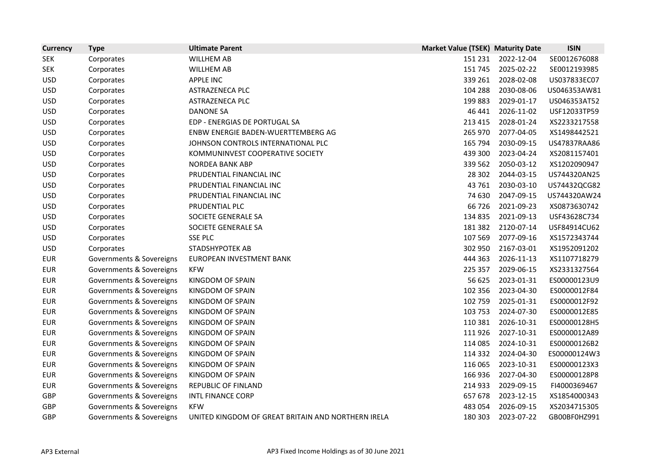| <b>Currency</b> | <b>Type</b>              | <b>Ultimate Parent</b>                             | <b>Market Value (TSEK) Maturity Date</b> |            | <b>ISIN</b>  |
|-----------------|--------------------------|----------------------------------------------------|------------------------------------------|------------|--------------|
| <b>SEK</b>      | Corporates               | <b>WILLHEM AB</b>                                  | 151 231                                  | 2022-12-04 | SE0012676088 |
| <b>SEK</b>      | Corporates               | <b>WILLHEM AB</b>                                  | 151 745                                  | 2025-02-22 | SE0012193985 |
| <b>USD</b>      | Corporates               | <b>APPLE INC</b>                                   | 339 261                                  | 2028-02-08 | US037833EC07 |
| <b>USD</b>      | Corporates               | ASTRAZENECA PLC                                    | 104 288                                  | 2030-08-06 | US046353AW81 |
| <b>USD</b>      | Corporates               | ASTRAZENECA PLC                                    | 199 883                                  | 2029-01-17 | US046353AT52 |
| <b>USD</b>      | Corporates               | <b>DANONE SA</b>                                   | 46 441                                   | 2026-11-02 | USF12033TP59 |
| <b>USD</b>      | Corporates               | EDP - ENERGIAS DE PORTUGAL SA                      | 213 415                                  | 2028-01-24 | XS2233217558 |
| <b>USD</b>      | Corporates               | ENBW ENERGIE BADEN-WUERTTEMBERG AG                 | 265 970                                  | 2077-04-05 | XS1498442521 |
| <b>USD</b>      | Corporates               | JOHNSON CONTROLS INTERNATIONAL PLC                 | 165 794                                  | 2030-09-15 | US47837RAA86 |
| <b>USD</b>      | Corporates               | KOMMUNINVEST COOPERATIVE SOCIETY                   | 439 300                                  | 2023-04-24 | XS2081157401 |
| <b>USD</b>      | Corporates               | <b>NORDEA BANK ABP</b>                             | 339 562                                  | 2050-03-12 | XS1202090947 |
| <b>USD</b>      | Corporates               | PRUDENTIAL FINANCIAL INC                           | 28 302                                   | 2044-03-15 | US744320AN25 |
| <b>USD</b>      | Corporates               | PRUDENTIAL FINANCIAL INC                           | 43 761                                   | 2030-03-10 | US74432QCG82 |
| <b>USD</b>      | Corporates               | PRUDENTIAL FINANCIAL INC                           | 74 630                                   | 2047-09-15 | US744320AW24 |
| <b>USD</b>      | Corporates               | PRUDENTIAL PLC                                     | 66 726                                   | 2021-09-23 | XS0873630742 |
| <b>USD</b>      | Corporates               | SOCIETE GENERALE SA                                | 134 835                                  | 2021-09-13 | USF43628C734 |
| <b>USD</b>      | Corporates               | SOCIETE GENERALE SA                                | 181 382                                  | 2120-07-14 | USF84914CU62 |
| <b>USD</b>      | Corporates               | <b>SSE PLC</b>                                     | 107 569                                  | 2077-09-16 | XS1572343744 |
| <b>USD</b>      | Corporates               | STADSHYPOTEK AB                                    | 302 950                                  | 2167-03-01 | XS1952091202 |
| <b>EUR</b>      | Governments & Sovereigns | EUROPEAN INVESTMENT BANK                           | 444 363                                  | 2026-11-13 | XS1107718279 |
| <b>EUR</b>      | Governments & Sovereigns | <b>KFW</b>                                         | 225 357                                  | 2029-06-15 | XS2331327564 |
| <b>EUR</b>      | Governments & Sovereigns | KINGDOM OF SPAIN                                   | 56 625                                   | 2023-01-31 | ES00000123U9 |
| <b>EUR</b>      | Governments & Sovereigns | KINGDOM OF SPAIN                                   | 102 356                                  | 2023-04-30 | ES0000012F84 |
| <b>EUR</b>      | Governments & Sovereigns | KINGDOM OF SPAIN                                   | 102 759                                  | 2025-01-31 | ES0000012F92 |
| <b>EUR</b>      | Governments & Sovereigns | KINGDOM OF SPAIN                                   | 103 753                                  | 2024-07-30 | ES0000012E85 |
| <b>EUR</b>      | Governments & Sovereigns | KINGDOM OF SPAIN                                   | 110 381                                  | 2026-10-31 | ES00000128H5 |
| <b>EUR</b>      | Governments & Sovereigns | KINGDOM OF SPAIN                                   | 111 926                                  | 2027-10-31 | ES0000012A89 |
| <b>EUR</b>      | Governments & Sovereigns | KINGDOM OF SPAIN                                   | 114 085                                  | 2024-10-31 | ES00000126B2 |
| <b>EUR</b>      | Governments & Sovereigns | KINGDOM OF SPAIN                                   | 114 332                                  | 2024-04-30 | ES00000124W3 |
| <b>EUR</b>      | Governments & Sovereigns | KINGDOM OF SPAIN                                   | 116 065                                  | 2023-10-31 | ES00000123X3 |
| <b>EUR</b>      | Governments & Sovereigns | KINGDOM OF SPAIN                                   | 166 936                                  | 2027-04-30 | ES00000128P8 |
| <b>EUR</b>      | Governments & Sovereigns | REPUBLIC OF FINLAND                                | 214 933                                  | 2029-09-15 | FI4000369467 |
| <b>GBP</b>      | Governments & Sovereigns | <b>INTL FINANCE CORP</b>                           | 657 678                                  | 2023-12-15 | XS1854000343 |
| GBP             | Governments & Sovereigns | <b>KFW</b>                                         | 483 054                                  | 2026-09-15 | XS2034715305 |
| GBP             | Governments & Sovereigns | UNITED KINGDOM OF GREAT BRITAIN AND NORTHERN IRELA | 180 303                                  | 2023-07-22 | GB00BF0HZ991 |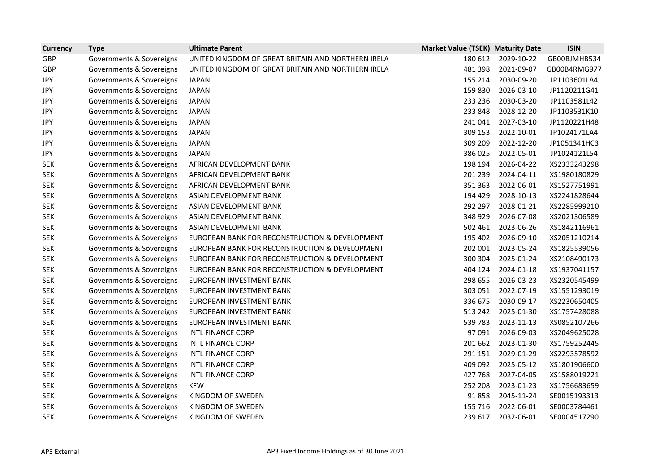| <b>Currency</b> | <b>Type</b>              | <b>Ultimate Parent</b>                             | <b>Market Value (TSEK) Maturity Date</b> |            | <b>ISIN</b>  |
|-----------------|--------------------------|----------------------------------------------------|------------------------------------------|------------|--------------|
| GBP             | Governments & Sovereigns | UNITED KINGDOM OF GREAT BRITAIN AND NORTHERN IRELA | 180 612                                  | 2029-10-22 | GB00BJMHB534 |
| GBP             | Governments & Sovereigns | UNITED KINGDOM OF GREAT BRITAIN AND NORTHERN IRELA | 481 398                                  | 2021-09-07 | GB00B4RMG977 |
| JPY             | Governments & Sovereigns | <b>JAPAN</b>                                       | 155 214                                  | 2030-09-20 | JP1103601LA4 |
| <b>JPY</b>      | Governments & Sovereigns | <b>JAPAN</b>                                       | 159 830                                  | 2026-03-10 | JP1120211G41 |
| JPY             | Governments & Sovereigns | <b>JAPAN</b>                                       | 233 236                                  | 2030-03-20 | JP1103581L42 |
| <b>JPY</b>      | Governments & Sovereigns | <b>JAPAN</b>                                       | 233 848                                  | 2028-12-20 | JP1103531K10 |
| <b>JPY</b>      | Governments & Sovereigns | <b>JAPAN</b>                                       | 241 041                                  | 2027-03-10 | JP1120221H48 |
| <b>JPY</b>      | Governments & Sovereigns | <b>JAPAN</b>                                       | 309 153                                  | 2022-10-01 | JP1024171LA4 |
| <b>JPY</b>      | Governments & Sovereigns | <b>JAPAN</b>                                       | 309 209                                  | 2022-12-20 | JP1051341HC3 |
| JPY             | Governments & Sovereigns | <b>JAPAN</b>                                       | 386 025                                  | 2022-05-01 | JP1024121L54 |
| <b>SEK</b>      | Governments & Sovereigns | AFRICAN DEVELOPMENT BANK                           | 198 194                                  | 2026-04-22 | XS2333243298 |
| <b>SEK</b>      | Governments & Sovereigns | AFRICAN DEVELOPMENT BANK                           | 201 239                                  | 2024-04-11 | XS1980180829 |
| <b>SEK</b>      | Governments & Sovereigns | AFRICAN DEVELOPMENT BANK                           | 351 363                                  | 2022-06-01 | XS1527751991 |
| <b>SEK</b>      | Governments & Sovereigns | ASIAN DEVELOPMENT BANK                             | 194 429                                  | 2028-10-13 | XS2241828644 |
| <b>SEK</b>      | Governments & Sovereigns | ASIAN DEVELOPMENT BANK                             | 292 297                                  | 2028-01-21 | XS2285999210 |
| <b>SEK</b>      | Governments & Sovereigns | ASIAN DEVELOPMENT BANK                             | 348 929                                  | 2026-07-08 | XS2021306589 |
| <b>SEK</b>      | Governments & Sovereigns | ASIAN DEVELOPMENT BANK                             | 502 461                                  | 2023-06-26 | XS1842116961 |
| <b>SEK</b>      | Governments & Sovereigns | EUROPEAN BANK FOR RECONSTRUCTION & DEVELOPMENT     | 195 402                                  | 2026-09-10 | XS2051210214 |
| <b>SEK</b>      | Governments & Sovereigns | EUROPEAN BANK FOR RECONSTRUCTION & DEVELOPMENT     | 202 001                                  | 2023-05-24 | XS1825539056 |
| <b>SEK</b>      | Governments & Sovereigns | EUROPEAN BANK FOR RECONSTRUCTION & DEVELOPMENT     | 300 304                                  | 2025-01-24 | XS2108490173 |
| <b>SEK</b>      | Governments & Sovereigns | EUROPEAN BANK FOR RECONSTRUCTION & DEVELOPMENT     | 404 124                                  | 2024-01-18 | XS1937041157 |
| <b>SEK</b>      | Governments & Sovereigns | EUROPEAN INVESTMENT BANK                           | 298 655                                  | 2026-03-23 | XS2320545499 |
| <b>SEK</b>      | Governments & Sovereigns | EUROPEAN INVESTMENT BANK                           | 303 051                                  | 2022-07-19 | XS1551293019 |
| <b>SEK</b>      | Governments & Sovereigns | EUROPEAN INVESTMENT BANK                           | 336 675                                  | 2030-09-17 | XS2230650405 |
| <b>SEK</b>      | Governments & Sovereigns | EUROPEAN INVESTMENT BANK                           | 513 242                                  | 2025-01-30 | XS1757428088 |
| <b>SEK</b>      | Governments & Sovereigns | EUROPEAN INVESTMENT BANK                           | 539 783                                  | 2023-11-13 | XS0852107266 |
| <b>SEK</b>      | Governments & Sovereigns | <b>INTL FINANCE CORP</b>                           | 97 091                                   | 2026-09-03 | XS2049625028 |
| <b>SEK</b>      | Governments & Sovereigns | INTL FINANCE CORP                                  | 201 662                                  | 2023-01-30 | XS1759252445 |
| <b>SEK</b>      | Governments & Sovereigns | <b>INTL FINANCE CORP</b>                           | 291 151                                  | 2029-01-29 | XS2293578592 |
| <b>SEK</b>      | Governments & Sovereigns | <b>INTL FINANCE CORP</b>                           | 409 092                                  | 2025-05-12 | XS1801906600 |
| <b>SEK</b>      | Governments & Sovereigns | <b>INTL FINANCE CORP</b>                           | 427 768                                  | 2027-04-05 | XS1588019221 |
| <b>SEK</b>      | Governments & Sovereigns | <b>KFW</b>                                         | 252 208                                  | 2023-01-23 | XS1756683659 |
| <b>SEK</b>      | Governments & Sovereigns | KINGDOM OF SWEDEN                                  | 91858                                    | 2045-11-24 | SE0015193313 |
| <b>SEK</b>      | Governments & Sovereigns | KINGDOM OF SWEDEN                                  | 155 716                                  | 2022-06-01 | SE0003784461 |
| <b>SEK</b>      | Governments & Sovereigns | KINGDOM OF SWEDEN                                  | 239 617                                  | 2032-06-01 | SE0004517290 |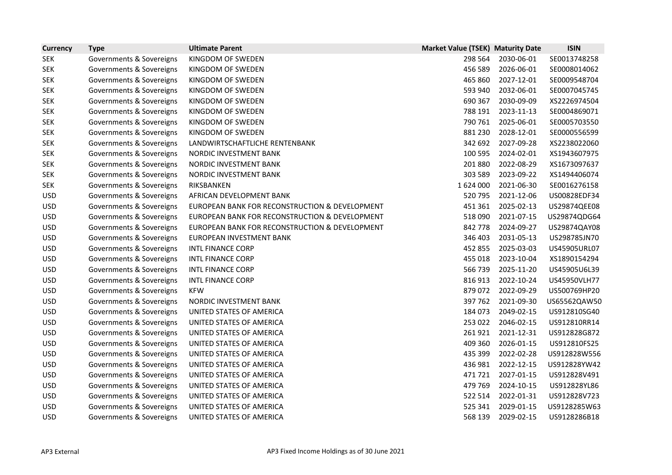| <b>Currency</b> | <b>Type</b>              | <b>Ultimate Parent</b>                         | <b>Market Value (TSEK) Maturity Date</b> |            | <b>ISIN</b>  |
|-----------------|--------------------------|------------------------------------------------|------------------------------------------|------------|--------------|
| <b>SEK</b>      | Governments & Sovereigns | KINGDOM OF SWEDEN                              | 298 564                                  | 2030-06-01 | SE0013748258 |
| <b>SEK</b>      | Governments & Sovereigns | KINGDOM OF SWEDEN                              | 456 589                                  | 2026-06-01 | SE0008014062 |
| <b>SEK</b>      | Governments & Sovereigns | KINGDOM OF SWEDEN                              | 465 860                                  | 2027-12-01 | SE0009548704 |
| <b>SEK</b>      | Governments & Sovereigns | KINGDOM OF SWEDEN                              | 593 940                                  | 2032-06-01 | SE0007045745 |
| <b>SEK</b>      | Governments & Sovereigns | KINGDOM OF SWEDEN                              | 690 367                                  | 2030-09-09 | XS2226974504 |
| <b>SEK</b>      | Governments & Sovereigns | KINGDOM OF SWEDEN                              | 788 191                                  | 2023-11-13 | SE0004869071 |
| <b>SEK</b>      | Governments & Sovereigns | KINGDOM OF SWEDEN                              | 790 761                                  | 2025-06-01 | SE0005703550 |
| <b>SEK</b>      | Governments & Sovereigns | KINGDOM OF SWEDEN                              | 881 230                                  | 2028-12-01 | SE0000556599 |
| <b>SEK</b>      | Governments & Sovereigns | LANDWIRTSCHAFTLICHE RENTENBANK                 | 342 692                                  | 2027-09-28 | XS2238022060 |
| <b>SEK</b>      | Governments & Sovereigns | NORDIC INVESTMENT BANK                         | 100 595                                  | 2024-02-01 | XS1943607975 |
| <b>SEK</b>      | Governments & Sovereigns | NORDIC INVESTMENT BANK                         | 201 880                                  | 2022-08-29 | XS1673097637 |
| <b>SEK</b>      | Governments & Sovereigns | NORDIC INVESTMENT BANK                         | 303 589                                  | 2023-09-22 | XS1494406074 |
| <b>SEK</b>      | Governments & Sovereigns | RIKSBANKEN                                     | 1624000                                  | 2021-06-30 | SE0016276158 |
| <b>USD</b>      | Governments & Sovereigns | AFRICAN DEVELOPMENT BANK                       | 520 795                                  | 2021-12-06 | US00828EDF34 |
| <b>USD</b>      | Governments & Sovereigns | EUROPEAN BANK FOR RECONSTRUCTION & DEVELOPMENT | 451 361                                  | 2025-02-13 | US29874QEE08 |
| <b>USD</b>      | Governments & Sovereigns | EUROPEAN BANK FOR RECONSTRUCTION & DEVELOPMENT | 518 090                                  | 2021-07-15 | US29874QDG64 |
| <b>USD</b>      | Governments & Sovereigns | EUROPEAN BANK FOR RECONSTRUCTION & DEVELOPMENT | 842 778                                  | 2024-09-27 | US29874QAY08 |
| <b>USD</b>      | Governments & Sovereigns | EUROPEAN INVESTMENT BANK                       | 346 403                                  | 2031-05-13 | US298785JN70 |
| <b>USD</b>      | Governments & Sovereigns | <b>INTL FINANCE CORP</b>                       | 452 855                                  | 2025-03-03 | US45905URL07 |
| <b>USD</b>      | Governments & Sovereigns | <b>INTL FINANCE CORP</b>                       | 455 018                                  | 2023-10-04 | XS1890154294 |
| <b>USD</b>      | Governments & Sovereigns | <b>INTL FINANCE CORP</b>                       | 566 739                                  | 2025-11-20 | US45905U6L39 |
| <b>USD</b>      | Governments & Sovereigns | <b>INTL FINANCE CORP</b>                       | 816913                                   | 2022-10-24 | US45950VLH77 |
| <b>USD</b>      | Governments & Sovereigns | <b>KFW</b>                                     | 879 072                                  | 2022-09-29 | US500769HP20 |
| <b>USD</b>      | Governments & Sovereigns | NORDIC INVESTMENT BANK                         | 397 762                                  | 2021-09-30 | US65562QAW50 |
| <b>USD</b>      | Governments & Sovereigns | UNITED STATES OF AMERICA                       | 184 073                                  | 2049-02-15 | US912810SG40 |
| <b>USD</b>      | Governments & Sovereigns | UNITED STATES OF AMERICA                       | 253 022                                  | 2046-02-15 | US912810RR14 |
| <b>USD</b>      | Governments & Sovereigns | UNITED STATES OF AMERICA                       | 261921                                   | 2021-12-31 | US912828G872 |
| <b>USD</b>      | Governments & Sovereigns | UNITED STATES OF AMERICA                       | 409 360                                  | 2026-01-15 | US912810FS25 |
| <b>USD</b>      | Governments & Sovereigns | UNITED STATES OF AMERICA                       | 435 399                                  | 2022-02-28 | US912828W556 |
| <b>USD</b>      | Governments & Sovereigns | UNITED STATES OF AMERICA                       | 436 981                                  | 2022-12-15 | US912828YW42 |
| <b>USD</b>      | Governments & Sovereigns | UNITED STATES OF AMERICA                       | 471 721                                  | 2027-01-15 | US912828V491 |
| <b>USD</b>      | Governments & Sovereigns | UNITED STATES OF AMERICA                       | 479 769                                  | 2024-10-15 | US912828YL86 |
| <b>USD</b>      | Governments & Sovereigns | UNITED STATES OF AMERICA                       | 522 514                                  | 2022-01-31 | US912828V723 |
| <b>USD</b>      | Governments & Sovereigns | UNITED STATES OF AMERICA                       | 525 341                                  | 2029-01-15 | US9128285W63 |
| <b>USD</b>      | Governments & Sovereigns | UNITED STATES OF AMERICA                       | 568 139                                  | 2029-02-15 | US9128286B18 |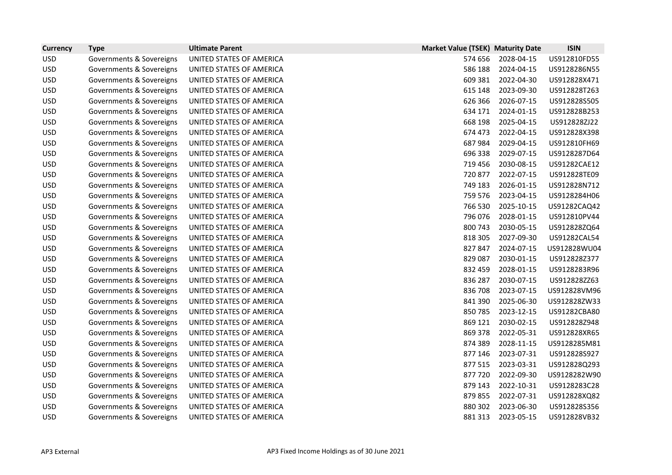| <b>Currency</b> | <b>Type</b>              | <b>Ultimate Parent</b>   | <b>Market Value (TSEK) Maturity Date</b> |            | <b>ISIN</b>  |
|-----------------|--------------------------|--------------------------|------------------------------------------|------------|--------------|
| <b>USD</b>      | Governments & Sovereigns | UNITED STATES OF AMERICA | 574 656                                  | 2028-04-15 | US912810FD55 |
| <b>USD</b>      | Governments & Sovereigns | UNITED STATES OF AMERICA | 586 188                                  | 2024-04-15 | US9128286N55 |
| <b>USD</b>      | Governments & Sovereigns | UNITED STATES OF AMERICA | 609 381                                  | 2022-04-30 | US912828X471 |
| <b>USD</b>      | Governments & Sovereigns | UNITED STATES OF AMERICA | 615 148                                  | 2023-09-30 | US912828T263 |
| <b>USD</b>      | Governments & Sovereigns | UNITED STATES OF AMERICA | 626 366                                  | 2026-07-15 | US912828S505 |
| <b>USD</b>      | Governments & Sovereigns | UNITED STATES OF AMERICA | 634 171                                  | 2024-01-15 | US912828B253 |
| <b>USD</b>      | Governments & Sovereigns | UNITED STATES OF AMERICA | 668 198                                  | 2025-04-15 | US912828ZJ22 |
| <b>USD</b>      | Governments & Sovereigns | UNITED STATES OF AMERICA | 674 473                                  | 2022-04-15 | US912828X398 |
| <b>USD</b>      | Governments & Sovereigns | UNITED STATES OF AMERICA | 687984                                   | 2029-04-15 | US912810FH69 |
| <b>USD</b>      | Governments & Sovereigns | UNITED STATES OF AMERICA | 696 338                                  | 2029-07-15 | US9128287D64 |
| <b>USD</b>      | Governments & Sovereigns | UNITED STATES OF AMERICA | 719 456                                  | 2030-08-15 | US91282CAE12 |
| <b>USD</b>      | Governments & Sovereigns | UNITED STATES OF AMERICA | 720 877                                  | 2022-07-15 | US912828TE09 |
| <b>USD</b>      | Governments & Sovereigns | UNITED STATES OF AMERICA | 749 183                                  | 2026-01-15 | US912828N712 |
| <b>USD</b>      | Governments & Sovereigns | UNITED STATES OF AMERICA | 759 576                                  | 2023-04-15 | US9128284H06 |
| <b>USD</b>      | Governments & Sovereigns | UNITED STATES OF AMERICA | 766 530                                  | 2025-10-15 | US91282CAQ42 |
| <b>USD</b>      | Governments & Sovereigns | UNITED STATES OF AMERICA | 796 076                                  | 2028-01-15 | US912810PV44 |
| <b>USD</b>      | Governments & Sovereigns | UNITED STATES OF AMERICA | 800 743                                  | 2030-05-15 | US912828ZQ64 |
| <b>USD</b>      | Governments & Sovereigns | UNITED STATES OF AMERICA | 818 305                                  | 2027-09-30 | US91282CAL54 |
| <b>USD</b>      | Governments & Sovereigns | UNITED STATES OF AMERICA | 827 847                                  | 2024-07-15 | US912828WU04 |
| <b>USD</b>      | Governments & Sovereigns | UNITED STATES OF AMERICA | 829 087                                  | 2030-01-15 | US912828Z377 |
| <b>USD</b>      | Governments & Sovereigns | UNITED STATES OF AMERICA | 832 459                                  | 2028-01-15 | US9128283R96 |
| <b>USD</b>      | Governments & Sovereigns | UNITED STATES OF AMERICA | 836 287                                  | 2030-07-15 | US912828ZZ63 |
| <b>USD</b>      | Governments & Sovereigns | UNITED STATES OF AMERICA | 836 708                                  | 2023-07-15 | US912828VM96 |
| <b>USD</b>      | Governments & Sovereigns | UNITED STATES OF AMERICA | 841 390                                  | 2025-06-30 | US912828ZW33 |
| <b>USD</b>      | Governments & Sovereigns | UNITED STATES OF AMERICA | 850785                                   | 2023-12-15 | US91282CBA80 |
| <b>USD</b>      | Governments & Sovereigns | UNITED STATES OF AMERICA | 869 121                                  | 2030-02-15 | US912828Z948 |
| <b>USD</b>      | Governments & Sovereigns | UNITED STATES OF AMERICA | 869 378                                  | 2022-05-31 | US912828XR65 |
| <b>USD</b>      | Governments & Sovereigns | UNITED STATES OF AMERICA | 874 389                                  | 2028-11-15 | US9128285M81 |
| <b>USD</b>      | Governments & Sovereigns | UNITED STATES OF AMERICA | 877 146                                  | 2023-07-31 | US912828S927 |
| <b>USD</b>      | Governments & Sovereigns | UNITED STATES OF AMERICA | 877 515                                  | 2023-03-31 | US912828Q293 |
| <b>USD</b>      | Governments & Sovereigns | UNITED STATES OF AMERICA | 877 720                                  | 2022-09-30 | US9128282W90 |
| <b>USD</b>      | Governments & Sovereigns | UNITED STATES OF AMERICA | 879 143                                  | 2022-10-31 | US9128283C28 |
| <b>USD</b>      | Governments & Sovereigns | UNITED STATES OF AMERICA | 879 855                                  | 2022-07-31 | US912828XQ82 |
| <b>USD</b>      | Governments & Sovereigns | UNITED STATES OF AMERICA | 880 302                                  | 2023-06-30 | US912828S356 |
| <b>USD</b>      | Governments & Sovereigns | UNITED STATES OF AMERICA | 881 313                                  | 2023-05-15 | US912828VB32 |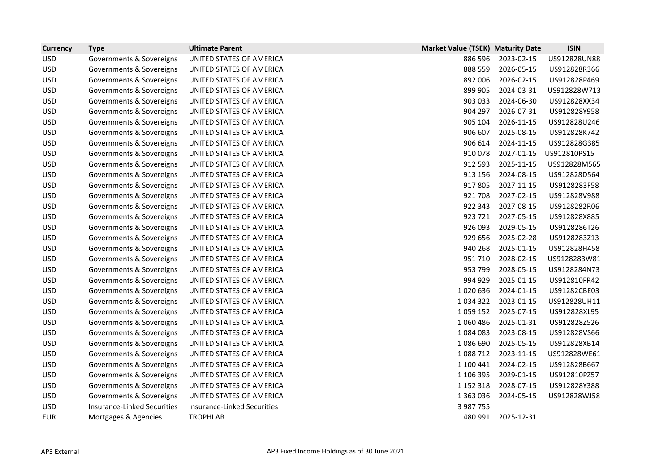| <b>Currency</b> | <b>Type</b>                        | <b>Ultimate Parent</b>             | <b>Market Value (TSEK) Maturity Date</b> |            | <b>ISIN</b>  |
|-----------------|------------------------------------|------------------------------------|------------------------------------------|------------|--------------|
| <b>USD</b>      | Governments & Sovereigns           | UNITED STATES OF AMERICA           | 886 596                                  | 2023-02-15 | US912828UN88 |
| <b>USD</b>      | Governments & Sovereigns           | UNITED STATES OF AMERICA           | 888 559                                  | 2026-05-15 | US912828R366 |
| <b>USD</b>      | Governments & Sovereigns           | UNITED STATES OF AMERICA           | 892 006                                  | 2026-02-15 | US912828P469 |
| <b>USD</b>      | Governments & Sovereigns           | UNITED STATES OF AMERICA           | 899 905                                  | 2024-03-31 | US912828W713 |
| <b>USD</b>      | Governments & Sovereigns           | UNITED STATES OF AMERICA           | 903 033                                  | 2024-06-30 | US912828XX34 |
| <b>USD</b>      | Governments & Sovereigns           | UNITED STATES OF AMERICA           | 904 297                                  | 2026-07-31 | US912828Y958 |
| <b>USD</b>      | Governments & Sovereigns           | UNITED STATES OF AMERICA           | 905 104                                  | 2026-11-15 | US912828U246 |
| <b>USD</b>      | Governments & Sovereigns           | UNITED STATES OF AMERICA           | 906 607                                  | 2025-08-15 | US912828K742 |
| <b>USD</b>      | Governments & Sovereigns           | UNITED STATES OF AMERICA           | 906 614                                  | 2024-11-15 | US912828G385 |
| <b>USD</b>      | Governments & Sovereigns           | UNITED STATES OF AMERICA           | 910 078                                  | 2027-01-15 | US912810PS15 |
| <b>USD</b>      | Governments & Sovereigns           | UNITED STATES OF AMERICA           | 912 593                                  | 2025-11-15 | US912828M565 |
| <b>USD</b>      | Governments & Sovereigns           | UNITED STATES OF AMERICA           | 913 156                                  | 2024-08-15 | US912828D564 |
| <b>USD</b>      | Governments & Sovereigns           | UNITED STATES OF AMERICA           | 917 805                                  | 2027-11-15 | US9128283F58 |
| <b>USD</b>      | Governments & Sovereigns           | UNITED STATES OF AMERICA           | 921 708                                  | 2027-02-15 | US912828V988 |
| <b>USD</b>      | Governments & Sovereigns           | UNITED STATES OF AMERICA           | 922 343                                  | 2027-08-15 | US9128282R06 |
| <b>USD</b>      | Governments & Sovereigns           | UNITED STATES OF AMERICA           | 923 721                                  | 2027-05-15 | US912828X885 |
| <b>USD</b>      | Governments & Sovereigns           | UNITED STATES OF AMERICA           | 926 093                                  | 2029-05-15 | US9128286T26 |
| <b>USD</b>      | Governments & Sovereigns           | UNITED STATES OF AMERICA           | 929 656                                  | 2025-02-28 | US9128283Z13 |
| <b>USD</b>      | Governments & Sovereigns           | UNITED STATES OF AMERICA           | 940 268                                  | 2025-01-15 | US912828H458 |
| <b>USD</b>      | Governments & Sovereigns           | UNITED STATES OF AMERICA           | 951 710                                  | 2028-02-15 | US9128283W81 |
| <b>USD</b>      | Governments & Sovereigns           | UNITED STATES OF AMERICA           | 953 799                                  | 2028-05-15 | US9128284N73 |
| <b>USD</b>      | Governments & Sovereigns           | UNITED STATES OF AMERICA           | 994 929                                  | 2025-01-15 | US912810FR42 |
| <b>USD</b>      | Governments & Sovereigns           | UNITED STATES OF AMERICA           | 1020636                                  | 2024-01-15 | US91282CBE03 |
| <b>USD</b>      | Governments & Sovereigns           | UNITED STATES OF AMERICA           | 1 0 3 4 3 2 2                            | 2023-01-15 | US912828UH11 |
| <b>USD</b>      | Governments & Sovereigns           | UNITED STATES OF AMERICA           | 1 0 5 9 1 5 2                            | 2025-07-15 | US912828XL95 |
| <b>USD</b>      | Governments & Sovereigns           | UNITED STATES OF AMERICA           | 1060486                                  | 2025-01-31 | US912828Z526 |
| <b>USD</b>      | Governments & Sovereigns           | UNITED STATES OF AMERICA           | 1084083                                  | 2023-08-15 | US912828VS66 |
| <b>USD</b>      | Governments & Sovereigns           | UNITED STATES OF AMERICA           | 1 086 690                                | 2025-05-15 | US912828XB14 |
| <b>USD</b>      | Governments & Sovereigns           | UNITED STATES OF AMERICA           | 1 088 712                                | 2023-11-15 | US912828WE61 |
| <b>USD</b>      | Governments & Sovereigns           | UNITED STATES OF AMERICA           | 1 100 441                                | 2024-02-15 | US912828B667 |
| <b>USD</b>      | Governments & Sovereigns           | UNITED STATES OF AMERICA           | 1 106 395                                | 2029-01-15 | US912810PZ57 |
| <b>USD</b>      | Governments & Sovereigns           | UNITED STATES OF AMERICA           | 1 152 318                                | 2028-07-15 | US912828Y388 |
| <b>USD</b>      | Governments & Sovereigns           | UNITED STATES OF AMERICA           | 1 363 036                                | 2024-05-15 | US912828WJ58 |
| <b>USD</b>      | <b>Insurance-Linked Securities</b> | <b>Insurance-Linked Securities</b> | 3 987 755                                |            |              |
| <b>EUR</b>      | Mortgages & Agencies               | <b>TROPHI AB</b>                   | 480 991                                  | 2025-12-31 |              |